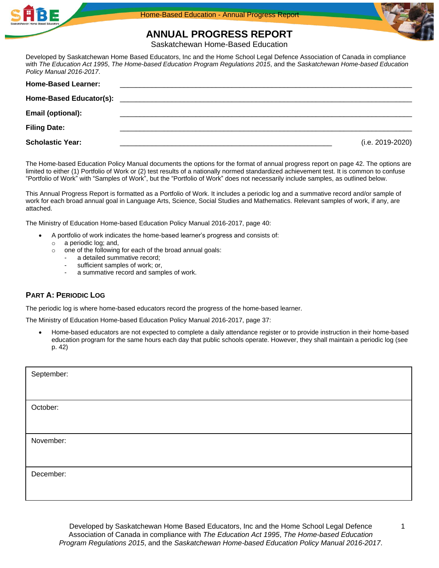



**ANNUAL PROGRESS REPORT**

Saskatchewan Home-Based Education

Developed by Saskatchewan Home Based Educators, Inc and the Home School Legal Defence Association of Canada in compliance with *The Education Act 1995*, *The Home-based Education Program Regulations 2015*, and the *Saskatchewan Home-based Education Policy Manual 2016-2017*.

| <b>Home-Based Learner:</b> |                  |
|----------------------------|------------------|
|                            |                  |
| Email (optional):          |                  |
| <b>Filing Date:</b>        |                  |
| <b>Scholastic Year:</b>    | (i.e. 2019-2020) |

The Home-based Education Policy Manual documents the options for the format of annual progress report on page 42. The options are limited to either (1) Portfolio of Work or (2) test results of a nationally normed standardized achievement test. It is common to confuse "Portfolio of Work" with "Samples of Work", but the "Portfolio of Work" does not necessarily include samples, as outlined below.

This Annual Progress Report is formatted as a Portfolio of Work. It includes a periodic log and a summative record and/or sample of work for each broad annual goal in Language Arts, Science, Social Studies and Mathematics. Relevant samples of work, if any, are attached.

The Ministry of Education Home-based Education Policy Manual 2016-2017, page 40:

- A portfolio of work indicates the home-based learner's progress and consists of:
- o a periodic log; and,
- o one of the following for each of the broad annual goals:
	- a detailed summative record:
	- sufficient samples of work; or,
	- a summative record and samples of work.

## **PART A: PERIODIC LOG**

The periodic log is where home-based educators record the progress of the home-based learner.

The Ministry of Education Home-based Education Policy Manual 2016-2017, page 37:

• Home-based educators are not expected to complete a daily attendance register or to provide instruction in their home-based education program for the same hours each day that public schools operate. However, they shall maintain a periodic log (see p. 42)

| September: |  |
|------------|--|
|            |  |
| October:   |  |
|            |  |
| November:  |  |
|            |  |
| December:  |  |
|            |  |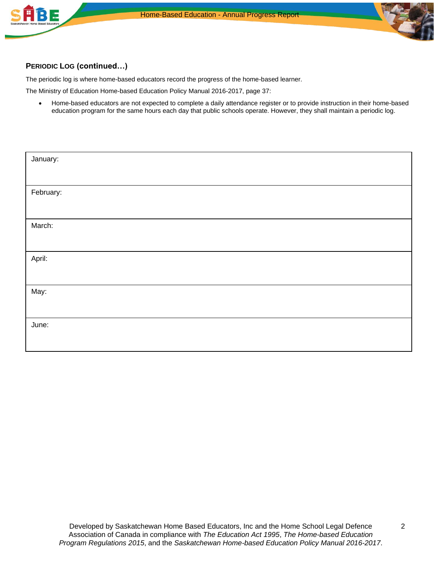

## **PERIODIC LOG (continued…)**

BE

The periodic log is where home-based educators record the progress of the home-based learner.

The Ministry of Education Home-based Education Policy Manual 2016-2017, page 37:

• Home-based educators are not expected to complete a daily attendance register or to provide instruction in their home-based education program for the same hours each day that public schools operate. However, they shall maintain a periodic log.

| January:  |  |
|-----------|--|
|           |  |
| February: |  |
|           |  |
| March:    |  |
|           |  |
| April:    |  |
|           |  |
| May:      |  |
|           |  |
| June:     |  |
|           |  |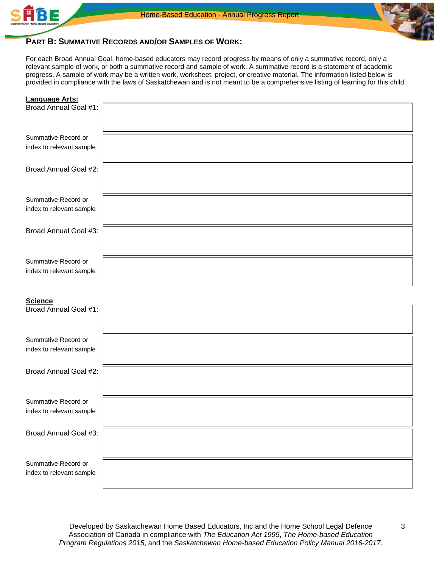



## **PART B: SUMMATIVE RECORDS AND/OR SAMPLES OF WORK:**

For each Broad Annual Goal, home-based educators may record progress by means of only a summative record, only a relevant sample of work, or both a summative record and sample of work. A summative record is a statement of academic progress. A sample of work may be a written work, worksheet, project, or creative material. The information listed below is provided in compliance with the laws of Saskatchewan and is not meant to be a comprehensive listing of learning for this child.

| <b>Language Arts:</b>                           |  |
|-------------------------------------------------|--|
| Broad Annual Goal #1:                           |  |
| Summative Record or                             |  |
| index to relevant sample                        |  |
|                                                 |  |
| Broad Annual Goal #2:                           |  |
|                                                 |  |
| Summative Record or                             |  |
| index to relevant sample                        |  |
| Broad Annual Goal #3:                           |  |
|                                                 |  |
| Summative Record or                             |  |
| index to relevant sample                        |  |
|                                                 |  |
| <b>Science</b><br>Broad Annual Goal #1:         |  |
|                                                 |  |
|                                                 |  |
| Summative Record or<br>index to relevant sample |  |
|                                                 |  |
| Broad Annual Goal #2:                           |  |
|                                                 |  |
| Summative Record or                             |  |
| index to relevant sample                        |  |
| Broad Annual Goal #3:                           |  |
|                                                 |  |
| Summative Record or                             |  |
| index to relevant sample                        |  |
|                                                 |  |

Developed by Saskatchewan Home Based Educators, Inc and the Home School Legal Defence Association of Canada in compliance with *The Education Act 1995*, *The Home-based Education Program Regulations 2015*, and the *Saskatchewan Home-based Education Policy Manual 2016-2017*.